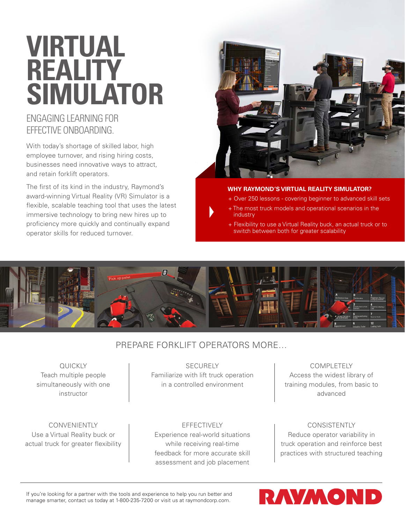# **VIRTUAL REALITY SIMULATOR**

## ENGAGING LEARNING FOR EFFECTIVE ONBOARDING.

With today's shortage of skilled labor, high employee turnover, and rising hiring costs, businesses need innovative ways to attract, and retain forklift operators.

The first of its kind in the industry, Raymond's award-winning Virtual Reality (VR) Simulator is a flexible, scalable teaching tool that uses the latest immersive technology to bring new hires up to proficiency more quickly and continually expand operator skills for reduced turnover.



#### **WHY RAYMOND'S VIRTUAL REALITY SIMULATOR?**

- + Over 250 lessons covering beginner to advanced skill sets
- + The most truck models and operational scenarios in the industry
- + Flexibility to use a Virtual Reality buck, an actual truck or to switch between both for greater scalability



### PREPARE FORKLIFT OPERATORS MORE…

**QUICKLY** Teach multiple people simultaneously with one instructor

CONVENIENTLY Use a Virtual Reality buck or actual truck for greater flexibility

SECURELY Familiarize with lift truck operation in a controlled environment

EFFECTIVELY Experience real-world situations while receiving real-time feedback for more accurate skill assessment and job placement

COMPLETELY Access the widest library of training modules, from basic to advanced

#### CONSISTENTLY Reduce operator variability in truck operation and reinforce best practices with structured teaching

If you're looking for a partner with the tools and experience to help you run better and manage smarter, contact us today at 1-800-235-7200 or visit us at raymondcorp.com.